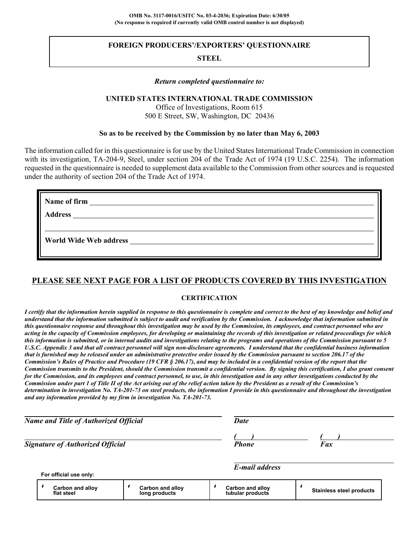# **FOREIGN PRODUCERS'/EXPORTERS' QUESTIONNAIRE**

# **STEEL**

## *Return completed questionnaire to:*

## **UNITED STATES INTERNATIONAL TRADE COMMISSION**

Office of Investigations, Room 615 500 E Street, SW, Washington, DC 20436

## **So as to be received by the Commission by no later than May 6, 2003**

The information called for in this questionnaire is for use by the United States International Trade Commission in connection with its investigation, TA-204-9, Steel, under section 204 of the Trade Act of 1974 (19 U.S.C. 2254). The information requested in the questionnaire is needed to supplement data available to the Commission from other sources and is requested under the authority of section 204 of the Trade Act of 1974.

| Name of firm<br><u> 1980 - Jan Barat, margaret al II-lea (h. 1980).</u>                                                                               |  |
|-------------------------------------------------------------------------------------------------------------------------------------------------------|--|
| <b>Address</b><br><u> 1980 - Jan Samuel Barbara, martin da shekara 1980 - An tsara 1980 - An tsara 1980 - An tsara 1980 - An tsara</u>                |  |
|                                                                                                                                                       |  |
| <b>World Wide Web address</b><br><u> 1980 - Jan Samuel Barbara, margaret e populazion del control del control del control del control de la provi</u> |  |
|                                                                                                                                                       |  |

# **PLEASE SEE NEXT PAGE FOR A LIST OF PRODUCTS COVERED BY THIS INVESTIGATION**

### **CERTIFICATION**

*I certify that the information herein supplied in response to this questionnaire is complete and correct to the best of my knowledge and belief and understand that the information submitted is subject to audit and verification by the Commission. I acknowledge that information submitted in this questionnaire response and throughout this investigation may be used by the Commission, its employees, and contract personnel who are acting in the capacity of Commission employees, for developing or maintaining the records of this investigation or related proceedings for which this information is submitted, or in internal audits and investigations relating to the programs and operations of the Commission pursuant to 5 U.S.C. Appendix 3 and that all contract personnel will sign non-disclosure agreements. I understand that the confidential business information that is furnished may be released under an administrative protective order issued by the Commission pursuant to section 206.17 of the Commission's Rules of Practice and Procedure (19 CFR § 206.17), and may be included in a confidential version of the report that the Commission transmits to the President, should the Commission transmit a confidential version. By signing this certification, I also grant consent for the Commission, and its employees and contract personnel, to use, in this investigation and in any other investigations conducted by the Commission under part 1 of Title II of the Act arising out of the relief action taken by the President as a result of the Commission's determination in investigation No. TA-201-73 on steel products, the information I provide in this questionnaire and throughout the investigation and any information provided by my firm in investigation No. TA-201-73.*

| <b>Name and Title of Authorized Official</b> | <b>Date</b>  |            |  |
|----------------------------------------------|--------------|------------|--|
|                                              |              |            |  |
| <b>Signature of Authorized Official</b>      | <b>Phone</b> | <b>Fax</b> |  |

*E-mail address*

|  | For official use only: |
|--|------------------------|
|--|------------------------|

|  | <b>Carbon and allov</b><br>flat steel | <b>Carbon and alloy</b><br>long products |  | <b>Carbon and allov</b><br>tubular products |  | <b>Stainless steel products</b> |
|--|---------------------------------------|------------------------------------------|--|---------------------------------------------|--|---------------------------------|
|--|---------------------------------------|------------------------------------------|--|---------------------------------------------|--|---------------------------------|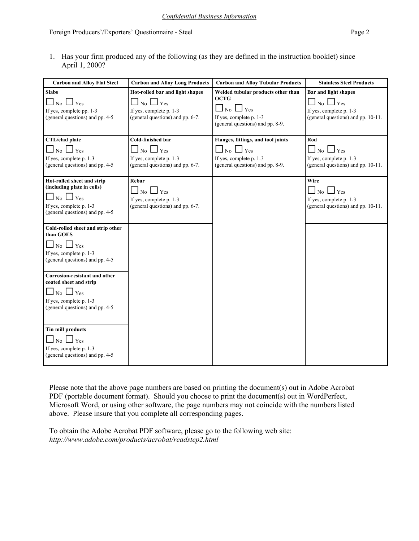1. Has your firm produced any of the following (as they are defined in the instruction booklet) since April 1, 2000?

| <b>Carbon and Alloy Flat Steel</b>                                                                                                                   | <b>Carbon and Alloy Long Products</b>                                                                                     | <b>Carbon and Alloy Tubular Products</b>                                                                                                        | <b>Stainless Steel Products</b>                                                                                                  |
|------------------------------------------------------------------------------------------------------------------------------------------------------|---------------------------------------------------------------------------------------------------------------------------|-------------------------------------------------------------------------------------------------------------------------------------------------|----------------------------------------------------------------------------------------------------------------------------------|
| <b>Slabs</b><br>$\perp$ Yes<br>N <sub>0</sub><br>If yes, complete pp. 1-3<br>(general questions) and pp. 4-5                                         | Hot-rolled bar and light shapes<br>Yes<br>$\overline{N_0}$<br>If yes, complete p. 1-3<br>(general questions) and pp. 6-7. | Welded tubular products other than<br><b>OCTG</b><br>$\overline{N_0}$ $\Box$ Yes<br>If yes, complete p. 1-3<br>(general questions) and pp. 8-9. | <b>Bar and light shapes</b><br>$\perp$ No $\perp$<br>$\Box$ Yes<br>If yes, complete p. 1-3<br>(general questions) and pp. 10-11. |
| CTL/clad plate<br>$\Box$ No $\Box$ Yes<br>If yes, complete p. 1-3<br>(general questions) and pp. 4-5                                                 | Cold-finished bar<br>$\Box$ No $\Box$ Yes<br>If yes, complete p. 1-3<br>(general questions) and pp. 6-7.                  | Flanges, fittings, and tool joints<br>$\Box$ No $\Box$ Yes<br>If yes, complete p. 1-3<br>(general questions) and pp. 8-9.                       | Rod<br>$\Box$ No $\Box$ Yes<br>If yes, complete p. 1-3<br>(general questions) and pp. 10-11.                                     |
| Hot-rolled sheet and strip<br>(including plate in coils)<br>$\Box$ No $\Box$ Yes<br>If yes, complete p. 1-3<br>(general questions) and pp. 4-5       | Rebar<br>$\Box$ No $\Box$ Yes<br>If yes, complete p. 1-3<br>(general questions) and pp. 6-7.                              |                                                                                                                                                 | Wire<br>$\Box$ No $\Box$ Yes<br>If yes, complete p. 1-3<br>(general questions) and pp. 10-11.                                    |
| Cold-rolled sheet and strip other<br>than GOES<br>$\Box$ No $\Box$ Yes<br>If yes, complete p. 1-3<br>(general questions) and pp. 4-5                 |                                                                                                                           |                                                                                                                                                 |                                                                                                                                  |
| <b>Corrosion-resistant and other</b><br>coated sheet and strip<br>$\Box$ No $\Box$ Yes<br>If yes, complete p. 1-3<br>(general questions) and pp. 4-5 |                                                                                                                           |                                                                                                                                                 |                                                                                                                                  |
| <b>Tin mill products</b><br>$\overline{N_0}$ $\Box$ Yes<br>If yes, complete p. 1-3<br>(general questions) and pp. 4-5                                |                                                                                                                           |                                                                                                                                                 |                                                                                                                                  |

Please note that the above page numbers are based on printing the document(s) out in Adobe Acrobat PDF (portable document format). Should you choose to print the document(s) out in WordPerfect, Microsoft Word, or using other software, the page numbers may not coincide with the numbers listed above. Please insure that you complete all corresponding pages.

To obtain the Adobe Acrobat PDF software, please go to the following web site: *http://www.adobe.com/products/acrobat/readstep2.html*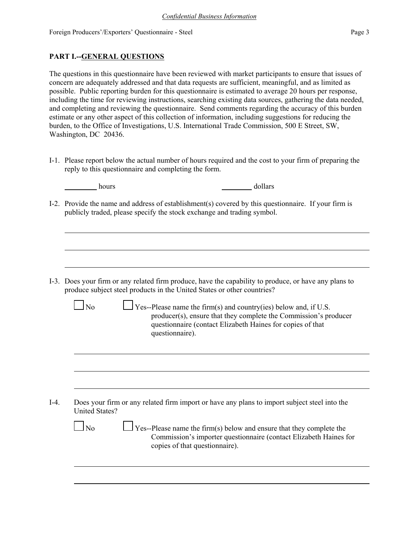# **PART I.--GENERAL QUESTIONS**

The questions in this questionnaire have been reviewed with market participants to ensure that issues of concern are adequately addressed and that data requests are sufficient, meaningful, and as limited as possible. Public reporting burden for this questionnaire is estimated to average 20 hours per response, including the time for reviewing instructions, searching existing data sources, gathering the data needed, and completing and reviewing the questionnaire. Send comments regarding the accuracy of this burden estimate or any other aspect of this collection of information, including suggestions for reducing the burden, to the Office of Investigations, U.S. International Trade Commission, 500 E Street, SW, Washington, DC 20436.

I-1. Please report below the actual number of hours required and the cost to your firm of preparing the reply to this questionnaire and completing the form.

| hours | dollars |
|-------|---------|
|-------|---------|

I-2. Provide the name and address of establishment(s) covered by this questionnaire. If your firm is publicly traded, please specify the stock exchange and trading symbol.

I-3. Does your firm or any related firm produce, have the capability to produce, or have any plans to produce subject steel products in the United States or other countries?

| N <sub>0</sub> | $\Box$ Yes--Please name the firm(s) and country(ies) below and, if U.S. |
|----------------|-------------------------------------------------------------------------|
|                | producer(s), ensure that they complete the Commission's producer        |
|                | questionnaire (contact Elizabeth Haines for copies of that)             |
|                | questionnaire).                                                         |
|                |                                                                         |

I-4. Does your firm or any related firm import or have any plans to import subject steel into the United States?

> $\Box$  No  $\Box$  Yes--Please name the firm(s) below and ensure that they complete the Commission's importer questionnaire (contact Elizabeth Haines for copies of that questionnaire).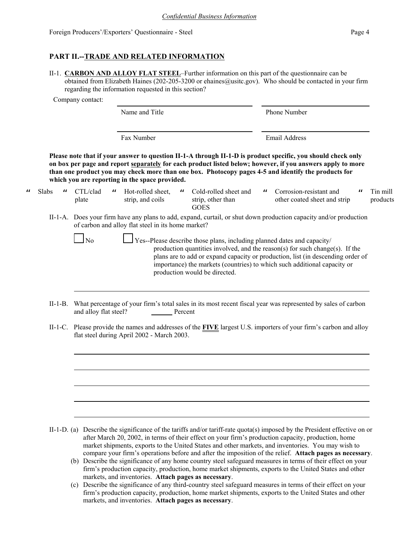# **PART II.--TRADE AND RELATED INFORMATION**

II-1. **CARBON AND ALLOY FLAT STEEL**–Further information on this part of the questionnaire can be obtained from Elizabeth Haines (202-205-3200 or ehaines@usitc.gov). Who should be contacted in your firm regarding the information requested in this section?

Company contact:

 $\mu$  Slabs  $\mu$ 

|                                        |                                                | Name and Title                                              |                                                                                                          | Phone Number                                                                                                                                                                                                                                                                                                                      |                      |
|----------------------------------------|------------------------------------------------|-------------------------------------------------------------|----------------------------------------------------------------------------------------------------------|-----------------------------------------------------------------------------------------------------------------------------------------------------------------------------------------------------------------------------------------------------------------------------------------------------------------------------------|----------------------|
|                                        |                                                | Fax Number                                                  |                                                                                                          | <b>Email Address</b>                                                                                                                                                                                                                                                                                                              |                      |
|                                        |                                                | which you are reporting in the space provided.              |                                                                                                          | Please note that if your answer to question II-1-A through II-1-D is product specific, you should check only<br>on box per page and report separately for each product listed below; however, if you answers apply to more<br>than one product you may check more than one box. Photocopy pages 4-5 and identify the products for |                      |
| $\boldsymbol{\mathsf{u}}$<br><b>)S</b> | CTL/clad<br>$\boldsymbol{\mathsf{u}}$<br>plate | Hot-rolled sheet,<br>$\boldsymbol{\mu}$<br>strip, and coils | Cold-rolled sheet and<br>strip, other than<br><b>GOES</b>                                                | Corrosion-resistant and<br>$\boldsymbol{\mu}$<br>$\mathbf{u}$<br>other coated sheet and strip                                                                                                                                                                                                                                     | Tin mill<br>products |
|                                        |                                                | of carbon and alloy flat steel in its home market?          |                                                                                                          | II-1-A. Does your firm have any plans to add, expand, curtail, or shut down production capacity and/or production                                                                                                                                                                                                                 |                      |
|                                        | N <sub>0</sub>                                 |                                                             | Yes--Please describe those plans, including planned dates and capacity/<br>production would be directed. | production quantities involved, and the reason(s) for such change(s). If the<br>plans are to add or expand capacity or production, list (in descending order of<br>importance) the markets (countries) to which such additional capacity or                                                                                       |                      |
|                                        |                                                |                                                             |                                                                                                          |                                                                                                                                                                                                                                                                                                                                   |                      |

- II-1-B. What percentage of your firm's total sales in its most recent fiscal year was represented by sales of carbon and alloy flat steel? Percent
- II-1-C. Please provide the names and addresses of the **FIVE** largest U.S. importers of your firm's carbon and alloy flat steel during April 2002 - March 2003.

- II-1-D. (a) Describe the significance of the tariffs and/or tariff-rate quota(s) imposed by the President effective on or after March 20, 2002, in terms of their effect on your firm's production capacity, production, home market shipments, exports to the United States and other markets, and inventories. You may wish to compare your firm's operations before and after the imposition of the relief. **Attach pages as necessary**.
	- (b) Describe the significance of any home country steel safeguard measures in terms of their effect on your firm's production capacity, production, home market shipments, exports to the United States and other markets, and inventories. **Attach pages as necessary**.
	- (c) Describe the significance of any third-country steel safeguard measures in terms of their effect on your firm's production capacity, production, home market shipments, exports to the United States and other markets, and inventories. **Attach pages as necessary**.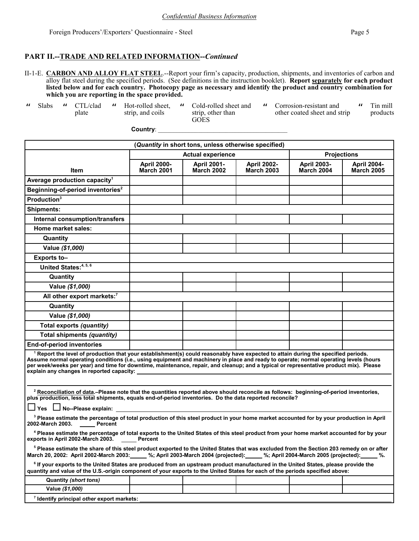#### **PART II.--TRADE AND RELATED INFORMATION--***Continued*

- II-1-E. **CARBON AND ALLOY FLAT STEEL**.--Report your firm's capacity, production, shipments, and inventories of carbon and alloy flat steel during the specified periods. (See definitions in the instruction booklet). **Report separately for each product listed below and for each country. Photocopy page as necessary and identify the product and country combination for which you are reporting in the space provided.**
- " Slabs " CTL/clad

plate

- " Hot-rolled sheet, strip, and coils
- " Cold-rolled sheet and strip, other than GOES

**Country**: \_\_\_\_\_\_\_\_\_\_\_\_\_\_\_\_\_\_\_\_\_\_\_\_\_\_\_\_\_\_\_\_\_\_\_\_\_\_\_\_\_\_

" Corrosion-resistant and other coated sheet and strip  $^{\prime\prime}$  Tin mill products

| (Quantity in short tons, unless otherwise specified)                                                                                                                                                                                                                                                                                                                                                                                                                          |                                                |                                         |                                         |                                         |                                         |  |
|-------------------------------------------------------------------------------------------------------------------------------------------------------------------------------------------------------------------------------------------------------------------------------------------------------------------------------------------------------------------------------------------------------------------------------------------------------------------------------|------------------------------------------------|-----------------------------------------|-----------------------------------------|-----------------------------------------|-----------------------------------------|--|
|                                                                                                                                                                                                                                                                                                                                                                                                                                                                               | <b>Actual experience</b><br><b>Projections</b> |                                         |                                         |                                         |                                         |  |
| <b>Item</b>                                                                                                                                                                                                                                                                                                                                                                                                                                                                   | <b>April 2000-</b><br><b>March 2001</b>        | <b>April 2001-</b><br><b>March 2002</b> | <b>April 2002-</b><br><b>March 2003</b> | <b>April 2003-</b><br><b>March 2004</b> | <b>April 2004-</b><br><b>March 2005</b> |  |
| Average production capacity <sup>1</sup>                                                                                                                                                                                                                                                                                                                                                                                                                                      |                                                |                                         |                                         |                                         |                                         |  |
| Beginning-of-period inventories <sup>2</sup>                                                                                                                                                                                                                                                                                                                                                                                                                                  |                                                |                                         |                                         |                                         |                                         |  |
| Production <sup>3</sup>                                                                                                                                                                                                                                                                                                                                                                                                                                                       |                                                |                                         |                                         |                                         |                                         |  |
| <b>Shipments:</b>                                                                                                                                                                                                                                                                                                                                                                                                                                                             |                                                |                                         |                                         |                                         |                                         |  |
| <b>Internal consumption/transfers</b>                                                                                                                                                                                                                                                                                                                                                                                                                                         |                                                |                                         |                                         |                                         |                                         |  |
| <b>Home market sales:</b>                                                                                                                                                                                                                                                                                                                                                                                                                                                     |                                                |                                         |                                         |                                         |                                         |  |
| Quantity                                                                                                                                                                                                                                                                                                                                                                                                                                                                      |                                                |                                         |                                         |                                         |                                         |  |
| Value (\$1,000)                                                                                                                                                                                                                                                                                                                                                                                                                                                               |                                                |                                         |                                         |                                         |                                         |  |
| Exports to-                                                                                                                                                                                                                                                                                                                                                                                                                                                                   |                                                |                                         |                                         |                                         |                                         |  |
| United States: <sup>4, 5, 6</sup>                                                                                                                                                                                                                                                                                                                                                                                                                                             |                                                |                                         |                                         |                                         |                                         |  |
| Quantity                                                                                                                                                                                                                                                                                                                                                                                                                                                                      |                                                |                                         |                                         |                                         |                                         |  |
| Value (\$1,000)                                                                                                                                                                                                                                                                                                                                                                                                                                                               |                                                |                                         |                                         |                                         |                                         |  |
| All other export markets: <sup>7</sup>                                                                                                                                                                                                                                                                                                                                                                                                                                        |                                                |                                         |                                         |                                         |                                         |  |
| Quantity                                                                                                                                                                                                                                                                                                                                                                                                                                                                      |                                                |                                         |                                         |                                         |                                         |  |
| Value (\$1,000)                                                                                                                                                                                                                                                                                                                                                                                                                                                               |                                                |                                         |                                         |                                         |                                         |  |
| Total exports (quantity)                                                                                                                                                                                                                                                                                                                                                                                                                                                      |                                                |                                         |                                         |                                         |                                         |  |
| Total shipments (quantity)                                                                                                                                                                                                                                                                                                                                                                                                                                                    |                                                |                                         |                                         |                                         |                                         |  |
| <b>End-of-period inventories</b>                                                                                                                                                                                                                                                                                                                                                                                                                                              |                                                |                                         |                                         |                                         |                                         |  |
| <sup>1</sup> Report the level of production that your establishment(s) could reasonably have expected to attain during the specified periods.<br>Assume normal operating conditions (i.e., using equipment and machinery in place and ready to operate; normal operating levels (hours<br>per week/weeks per year) and time for downtime, maintenance, repair, and cleanup; and a typical or representative product mix). Please<br>explain any changes in reported capacity: |                                                |                                         |                                         |                                         |                                         |  |
| <sup>2</sup> Reconciliation of data.-Please note that the quantities reported above should reconcile as follows: beginning-of-period inventories,<br>plus production, less total shipments, equals end-of-period inventories. Do the data reported reconcile?<br>$\Box$ Yes $\Box$ No--Please explain:                                                                                                                                                                        |                                                |                                         |                                         |                                         |                                         |  |
| <sup>3</sup> Please estimate the percentage of total production of this steel product in your home market accounted for by your production in April<br>2002-March 2003. Percent                                                                                                                                                                                                                                                                                               |                                                |                                         |                                         |                                         |                                         |  |
| <sup>4</sup> Please estimate the percentage of total exports to the United States of this steel product from your home market accounted for by your<br>exports in April 2002-March 2003.<br>Percent                                                                                                                                                                                                                                                                           |                                                |                                         |                                         |                                         |                                         |  |
| <sup>5</sup> Please estimate the share of this steel product exported to the United States that was excluded from the Section 203 remedy on or after<br>March 20, 2002: April 2002-March 2003: 4.5%; April 2003-March 2004 (projected): 4.5%; April 2004-March 2005 (projected): 4.5%.                                                                                                                                                                                        |                                                |                                         |                                         |                                         |                                         |  |
| <sup>6</sup> If your exports to the United States are produced from an upstream product manufactured in the United States, please provide the<br>quantity and value of the U.S.-origin component of your exports to the United States for each of the periods specified above:                                                                                                                                                                                                |                                                |                                         |                                         |                                         |                                         |  |
| Quantity (short tons)                                                                                                                                                                                                                                                                                                                                                                                                                                                         |                                                |                                         |                                         |                                         |                                         |  |
| Value (\$1,000)                                                                                                                                                                                                                                                                                                                                                                                                                                                               |                                                |                                         |                                         |                                         |                                         |  |
| <sup>7</sup> Identify principal other export markets:                                                                                                                                                                                                                                                                                                                                                                                                                         |                                                |                                         |                                         |                                         |                                         |  |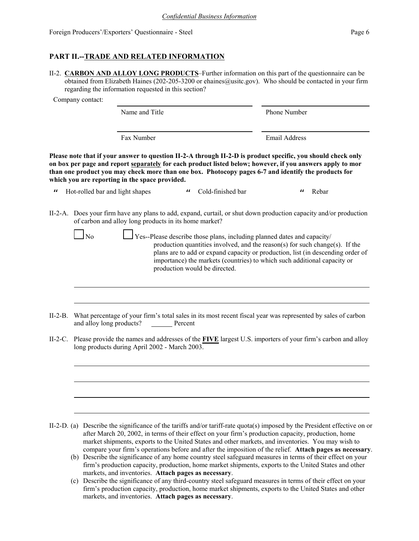# **PART II.--TRADE AND RELATED INFORMATION**

II-2. **CARBON AND ALLOY LONG PRODUCTS**–Further information on this part of the questionnaire can be obtained from Elizabeth Haines (202-205-3200 or ehaines@usitc.gov). Who should be contacted in your firm regarding the information requested in this section?

Company contact:

Name and Title Phone Number Fax Number **Email Address** 

**Please note that if your answer to question II-2-A through II-2-D is product specific, you should check only on box per page and report separately for each product listed below; however, if you answers apply to mor than one product you may check more than one box. Photocopy pages 6-7 and identify the products for which you are reporting in the space provided.**

" Hot-rolled bar and light shapes " Cold-finished bar " Rebar

II-2-A. Does your firm have any plans to add, expand, curtail, or shut down production capacity and/or production of carbon and alloy long products in its home market?

| N <sub>0</sub> | $\Box$ Yes--Please describe those plans, including planned dates and capacity/  |
|----------------|---------------------------------------------------------------------------------|
|                | production quantities involved, and the reason(s) for such change(s). If the    |
|                | plans are to add or expand capacity or production, list (in descending order of |
|                | importance) the markets (countries) to which such additional capacity or        |
|                | production would be directed.                                                   |

- II-2-B. What percentage of your firm's total sales in its most recent fiscal year was represented by sales of carbon and alloy long products? Percent
- II-2-C. Please provide the names and addresses of the **FIVE** largest U.S. importers of your firm's carbon and alloy long products during April 2002 - March 2003.

- II-2-D. (a) Describe the significance of the tariffs and/or tariff-rate quota(s) imposed by the President effective on or after March 20, 2002, in terms of their effect on your firm's production capacity, production, home market shipments, exports to the United States and other markets, and inventories. You may wish to compare your firm's operations before and after the imposition of the relief. **Attach pages as necessary**.
	- (b) Describe the significance of any home country steel safeguard measures in terms of their effect on your firm's production capacity, production, home market shipments, exports to the United States and other markets, and inventories. **Attach pages as necessary**.
	- (c) Describe the significance of any third-country steel safeguard measures in terms of their effect on your firm's production capacity, production, home market shipments, exports to the United States and other markets, and inventories. **Attach pages as necessary**.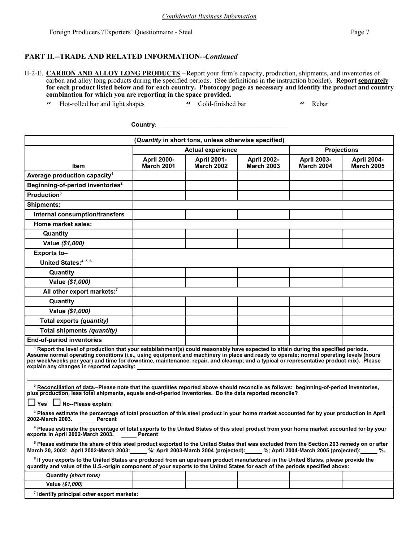## **PART II.--TRADE AND RELATED INFORMATION--***Continued*

- II-2-E. **CARBON AND ALLOY LONG PRODUCTS**.--Report your firm's capacity, production, shipments, and inventories of carbon and alloy long products during the specified periods. (See definitions in the instruction booklet). **Report separately for each product listed below and for each country. Photocopy page as necessary and identify the product and country combination for which you are reporting in the space provided.**
	- " Hot-rolled bar and light shapes " Cold-finished bar " Rebar

**Country**: \_\_\_\_\_\_\_\_\_\_\_\_\_\_\_\_\_\_\_\_\_\_\_\_\_\_\_\_\_\_\_\_\_\_\_\_\_\_\_\_\_\_

| (Quantity in short tons, unless otherwise specified)                                                                                                                                                                                                                                                                                                                                                                                                                          |                                         |                                         |                                         |                                         |                                         |  |
|-------------------------------------------------------------------------------------------------------------------------------------------------------------------------------------------------------------------------------------------------------------------------------------------------------------------------------------------------------------------------------------------------------------------------------------------------------------------------------|-----------------------------------------|-----------------------------------------|-----------------------------------------|-----------------------------------------|-----------------------------------------|--|
|                                                                                                                                                                                                                                                                                                                                                                                                                                                                               | <b>Actual experience</b>                |                                         |                                         | <b>Projections</b>                      |                                         |  |
| ltem                                                                                                                                                                                                                                                                                                                                                                                                                                                                          | <b>April 2000-</b><br><b>March 2001</b> | <b>April 2001-</b><br><b>March 2002</b> | <b>April 2002-</b><br><b>March 2003</b> | <b>April 2003-</b><br><b>March 2004</b> | <b>April 2004-</b><br><b>March 2005</b> |  |
| Average production capacity <sup>1</sup>                                                                                                                                                                                                                                                                                                                                                                                                                                      |                                         |                                         |                                         |                                         |                                         |  |
| Beginning-of-period inventories <sup>2</sup>                                                                                                                                                                                                                                                                                                                                                                                                                                  |                                         |                                         |                                         |                                         |                                         |  |
| Production <sup>3</sup>                                                                                                                                                                                                                                                                                                                                                                                                                                                       |                                         |                                         |                                         |                                         |                                         |  |
| <b>Shipments:</b>                                                                                                                                                                                                                                                                                                                                                                                                                                                             |                                         |                                         |                                         |                                         |                                         |  |
| <b>Internal consumption/transfers</b>                                                                                                                                                                                                                                                                                                                                                                                                                                         |                                         |                                         |                                         |                                         |                                         |  |
| <b>Home market sales:</b>                                                                                                                                                                                                                                                                                                                                                                                                                                                     |                                         |                                         |                                         |                                         |                                         |  |
| Quantity                                                                                                                                                                                                                                                                                                                                                                                                                                                                      |                                         |                                         |                                         |                                         |                                         |  |
| Value (\$1,000)                                                                                                                                                                                                                                                                                                                                                                                                                                                               |                                         |                                         |                                         |                                         |                                         |  |
| Exports to-                                                                                                                                                                                                                                                                                                                                                                                                                                                                   |                                         |                                         |                                         |                                         |                                         |  |
| United States: <sup>4, 5, 6</sup>                                                                                                                                                                                                                                                                                                                                                                                                                                             |                                         |                                         |                                         |                                         |                                         |  |
| Quantity                                                                                                                                                                                                                                                                                                                                                                                                                                                                      |                                         |                                         |                                         |                                         |                                         |  |
| Value (\$1,000)                                                                                                                                                                                                                                                                                                                                                                                                                                                               |                                         |                                         |                                         |                                         |                                         |  |
| All other export markets:7                                                                                                                                                                                                                                                                                                                                                                                                                                                    |                                         |                                         |                                         |                                         |                                         |  |
| Quantity                                                                                                                                                                                                                                                                                                                                                                                                                                                                      |                                         |                                         |                                         |                                         |                                         |  |
| Value (\$1,000)                                                                                                                                                                                                                                                                                                                                                                                                                                                               |                                         |                                         |                                         |                                         |                                         |  |
| Total exports (quantity)                                                                                                                                                                                                                                                                                                                                                                                                                                                      |                                         |                                         |                                         |                                         |                                         |  |
| Total shipments (quantity)                                                                                                                                                                                                                                                                                                                                                                                                                                                    |                                         |                                         |                                         |                                         |                                         |  |
| <b>End-of-period inventories</b>                                                                                                                                                                                                                                                                                                                                                                                                                                              |                                         |                                         |                                         |                                         |                                         |  |
| <sup>1</sup> Report the level of production that your establishment(s) could reasonably have expected to attain during the specified periods.<br>Assume normal operating conditions (i.e., using equipment and machinery in place and ready to operate; normal operating levels (hours<br>per week/weeks per year) and time for downtime, maintenance, repair, and cleanup; and a typical or representative product mix). Please<br>explain any changes in reported capacity: |                                         |                                         |                                         |                                         |                                         |  |
|                                                                                                                                                                                                                                                                                                                                                                                                                                                                               |                                         |                                         |                                         |                                         |                                         |  |
| <sup>2</sup> Reconciliation of data.-Please note that the quantities reported above should reconcile as follows: beginning-of-period inventories,<br>plus production, less total shipments, equals end-of-period inventories. Do the data reported reconcile?                                                                                                                                                                                                                 |                                         |                                         |                                         |                                         |                                         |  |
| $\Box$ Yes $\Box$ No--Please explain:                                                                                                                                                                                                                                                                                                                                                                                                                                         |                                         |                                         |                                         |                                         |                                         |  |
| <sup>3</sup> Please estimate the percentage of total production of this steel product in your home market accounted for by your production in April<br>2002-March 2003.<br><b>Percent</b>                                                                                                                                                                                                                                                                                     |                                         |                                         |                                         |                                         |                                         |  |
| <sup>4</sup> Please estimate the percentage of total exports to the United States of this steel product from your home market accounted for by your<br>exports in April 2002-March 2003.                                                                                                                                                                                                                                                                                      | Percent                                 |                                         |                                         |                                         |                                         |  |
| <sup>5</sup> Please estimate the share of this steel product exported to the United States that was excluded from the Section 203 remedy on or after<br>March 20, 2002: April 2002-March 2003: 4: %; April 2003-March 2004 (projected): 4: %; April 2004-March 2005 (projected):<br>$\%$ .                                                                                                                                                                                    |                                         |                                         |                                         |                                         |                                         |  |
| <sup>6</sup> If your exports to the United States are produced from an upstream product manufactured in the United States, please provide the<br>quantity and value of the U.S.-origin component of your exports to the United States for each of the periods specified above:                                                                                                                                                                                                |                                         |                                         |                                         |                                         |                                         |  |
| Quantity (short tons)                                                                                                                                                                                                                                                                                                                                                                                                                                                         |                                         |                                         |                                         |                                         |                                         |  |
| Value (\$1,000)                                                                                                                                                                                                                                                                                                                                                                                                                                                               |                                         |                                         |                                         |                                         |                                         |  |
| <sup>7</sup> Identify principal other export markets:                                                                                                                                                                                                                                                                                                                                                                                                                         |                                         |                                         |                                         |                                         |                                         |  |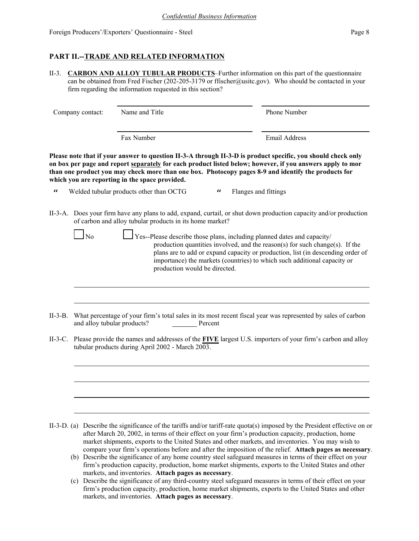# **PART II.--TRADE AND RELATED INFORMATION**

II-3. **CARBON AND ALLOY TUBULAR PRODUCTS**–Further information on this part of the questionnaire can be obtained from Fred Fischer (202-205-3179 or ffischer@usitc.gov). Who should be contacted in your firm regarding the information requested in this section?

Company contact: Name and Title Phone Number

Fax Number **Email Address** 

**Please note that if your answer to question II-3-A through II-3-D is product specific, you should check only on box per page and report separately for each product listed below; however, if you answers apply to mor than one product you may check more than one box. Photocopy pages 8-9 and identify the products for which you are reporting in the space provided.**

" Welded tubular products other than OCTG " Flanges and fittings

II-3-A. Does your firm have any plans to add, expand, curtail, or shut down production capacity and/or production of carbon and alloy tubular products in its home market?

> $\Box$  Yes--Please describe those plans, including planned dates and capacity/ production quantities involved, and the reason(s) for such change(s). If the plans are to add or expand capacity or production, list (in descending order of importance) the markets (countries) to which such additional capacity or production would be directed.

- II-3-B. What percentage of your firm's total sales in its most recent fiscal year was represented by sales of carbon and alloy tubular products? Percent
- II-3-C. Please provide the names and addresses of the **FIVE** largest U.S. importers of your firm's carbon and alloy tubular products during April 2002 - March  $20\overline{03}$ .

II-3-D. (a) Describe the significance of the tariffs and/or tariff-rate quota(s) imposed by the President effective on or after March 20, 2002, in terms of their effect on your firm's production capacity, production, home market shipments, exports to the United States and other markets, and inventories. You may wish to compare your firm's operations before and after the imposition of the relief. **Attach pages as necessary**.

- (b) Describe the significance of any home country steel safeguard measures in terms of their effect on your firm's production capacity, production, home market shipments, exports to the United States and other markets, and inventories. **Attach pages as necessary**.
- (c) Describe the significance of any third-country steel safeguard measures in terms of their effect on your firm's production capacity, production, home market shipments, exports to the United States and other markets, and inventories. **Attach pages as necessary**.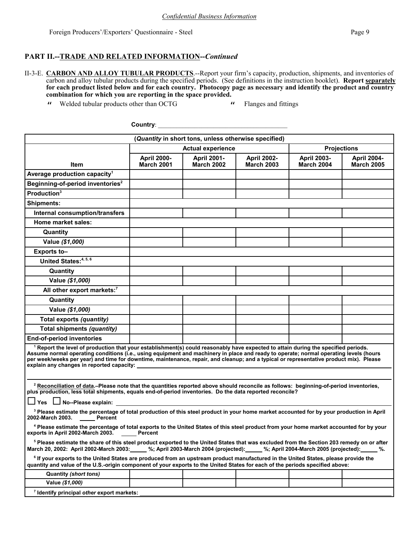**7 Identify principal** *other* **export markets:** 

## **PART II.--TRADE AND RELATED INFORMATION--***Continued*

II-3-E. **CARBON AND ALLOY TUBULAR PRODUCTS**.--Report your firm's capacity, production, shipments, and inventories of carbon and alloy tubular products during the specified periods. (See definitions in the instruction booklet). **Report separately for each product listed below and for each country. Photocopy page as necessary and identify the product and country combination for which you are reporting in the space provided.**

" Welded tubular products other than OCTG " Flanges and fittings" Flanges and fittings

**Country**: \_\_\_\_\_\_\_\_\_\_\_\_\_\_\_\_\_\_\_\_\_\_\_\_\_\_\_\_\_\_\_\_\_\_\_\_\_\_\_\_\_\_

| (Quantity in short tons, unless otherwise specified)                                                                                                                                                                                                                                                                                                                                                                                                                          |                                         |                                         |                                         |                                         |                                         |
|-------------------------------------------------------------------------------------------------------------------------------------------------------------------------------------------------------------------------------------------------------------------------------------------------------------------------------------------------------------------------------------------------------------------------------------------------------------------------------|-----------------------------------------|-----------------------------------------|-----------------------------------------|-----------------------------------------|-----------------------------------------|
| <b>Actual experience</b>                                                                                                                                                                                                                                                                                                                                                                                                                                                      |                                         |                                         |                                         | <b>Projections</b>                      |                                         |
| <b>Item</b>                                                                                                                                                                                                                                                                                                                                                                                                                                                                   | <b>April 2000-</b><br><b>March 2001</b> | <b>April 2001-</b><br><b>March 2002</b> | <b>April 2002-</b><br><b>March 2003</b> | <b>April 2003-</b><br><b>March 2004</b> | <b>April 2004-</b><br><b>March 2005</b> |
| Average production capacity <sup>1</sup>                                                                                                                                                                                                                                                                                                                                                                                                                                      |                                         |                                         |                                         |                                         |                                         |
| Beginning-of-period inventories <sup>2</sup>                                                                                                                                                                                                                                                                                                                                                                                                                                  |                                         |                                         |                                         |                                         |                                         |
| Production <sup>3</sup>                                                                                                                                                                                                                                                                                                                                                                                                                                                       |                                         |                                         |                                         |                                         |                                         |
| <b>Shipments:</b>                                                                                                                                                                                                                                                                                                                                                                                                                                                             |                                         |                                         |                                         |                                         |                                         |
| <b>Internal consumption/transfers</b>                                                                                                                                                                                                                                                                                                                                                                                                                                         |                                         |                                         |                                         |                                         |                                         |
| <b>Home market sales:</b>                                                                                                                                                                                                                                                                                                                                                                                                                                                     |                                         |                                         |                                         |                                         |                                         |
| Quantity                                                                                                                                                                                                                                                                                                                                                                                                                                                                      |                                         |                                         |                                         |                                         |                                         |
| Value (\$1,000)                                                                                                                                                                                                                                                                                                                                                                                                                                                               |                                         |                                         |                                         |                                         |                                         |
| Exports to-                                                                                                                                                                                                                                                                                                                                                                                                                                                                   |                                         |                                         |                                         |                                         |                                         |
| United States: 4, 5, 6                                                                                                                                                                                                                                                                                                                                                                                                                                                        |                                         |                                         |                                         |                                         |                                         |
| Quantity                                                                                                                                                                                                                                                                                                                                                                                                                                                                      |                                         |                                         |                                         |                                         |                                         |
| Value (\$1,000)                                                                                                                                                                                                                                                                                                                                                                                                                                                               |                                         |                                         |                                         |                                         |                                         |
| All other export markets:7                                                                                                                                                                                                                                                                                                                                                                                                                                                    |                                         |                                         |                                         |                                         |                                         |
| Quantity                                                                                                                                                                                                                                                                                                                                                                                                                                                                      |                                         |                                         |                                         |                                         |                                         |
| Value (\$1,000)                                                                                                                                                                                                                                                                                                                                                                                                                                                               |                                         |                                         |                                         |                                         |                                         |
| Total exports (quantity)                                                                                                                                                                                                                                                                                                                                                                                                                                                      |                                         |                                         |                                         |                                         |                                         |
| <b>Total shipments (quantity)</b>                                                                                                                                                                                                                                                                                                                                                                                                                                             |                                         |                                         |                                         |                                         |                                         |
| <b>End-of-period inventories</b>                                                                                                                                                                                                                                                                                                                                                                                                                                              |                                         |                                         |                                         |                                         |                                         |
| <sup>1</sup> Report the level of production that your establishment(s) could reasonably have expected to attain during the specified periods.<br>Assume normal operating conditions (i.e., using equipment and machinery in place and ready to operate; normal operating levels (hours<br>per week/weeks per year) and time for downtime, maintenance, repair, and cleanup; and a typical or representative product mix). Please<br>explain any changes in reported capacity: |                                         |                                         |                                         |                                         |                                         |
|                                                                                                                                                                                                                                                                                                                                                                                                                                                                               |                                         |                                         |                                         |                                         |                                         |
| <sup>2</sup> Reconciliation of data.-Please note that the quantities reported above should reconcile as follows: beginning-of-period inventories,<br>plus production, less total shipments, equals end-of-period inventories. Do the data reported reconcile?                                                                                                                                                                                                                 |                                         |                                         |                                         |                                         |                                         |
| └─│ Yes L—│ No--Please explain:                                                                                                                                                                                                                                                                                                                                                                                                                                               |                                         |                                         |                                         |                                         |                                         |
| <sup>3</sup> Please estimate the percentage of total production of this steel product in your home market accounted for by your production in April<br>2002-March 2003. Percent                                                                                                                                                                                                                                                                                               |                                         |                                         |                                         |                                         |                                         |
| <sup>4</sup> Please estimate the percentage of total exports to the United States of this steel product from your home market accounted for by your<br>exports in April 2002-March 2003.<br><b>Percent</b>                                                                                                                                                                                                                                                                    |                                         |                                         |                                         |                                         |                                         |
| <sup>5</sup> Please estimate the share of this steel product exported to the United States that was excluded from the Section 203 remedy on or after<br>March 20, 2002: April 2002-March 2003: "%; April 2003-March 2004 (projected): "%; April 2004-March 2005 (projected): "%.                                                                                                                                                                                              |                                         |                                         |                                         |                                         |                                         |
| <sup>6</sup> If your exports to the United States are produced from an upstream product manufactured in the United States, please provide the<br>quantity and value of the U.S.-origin component of your exports to the United States for each of the periods specified above:                                                                                                                                                                                                |                                         |                                         |                                         |                                         |                                         |
| <b>Quantity (short tons)</b>                                                                                                                                                                                                                                                                                                                                                                                                                                                  |                                         |                                         |                                         |                                         |                                         |
| Value (\$1,000)                                                                                                                                                                                                                                                                                                                                                                                                                                                               |                                         |                                         |                                         |                                         |                                         |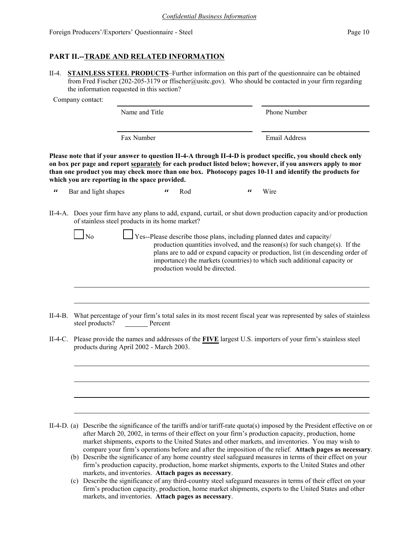# **PART II.--TRADE AND RELATED INFORMATION**

II-4. **STAINLESS STEEL PRODUCTS**–Further information on this part of the questionnaire can be obtained from Fred Fischer (202-205-3179 or ffischer@usitc.gov). Who should be contacted in your firm regarding the information requested in this section?

Company contact:

| Name and Title | <b>Phone Number</b> |  |  |  |
|----------------|---------------------|--|--|--|
| Fax Number     | Email Address       |  |  |  |

**Please note that if your answer to question II-4-A through II-4-D is product specific, you should check only on box per page and report separately for each product listed below; however, if you answers apply to mor than one product you may check more than one box. Photocopy pages 10-11 and identify the products for which you are reporting in the space provided.**

" Bar and light shapes " Rod " Wire

II-4-A. Does your firm have any plans to add, expand, curtail, or shut down production capacity and/or production of stainless steel products in its home market?

| N <sub>0</sub> | $\Box$ Yes--Please describe those plans, including planned dates and capacity/  |
|----------------|---------------------------------------------------------------------------------|
|                | production quantities involved, and the reason(s) for such change(s). If the    |
|                | plans are to add or expand capacity or production, list (in descending order of |
|                | importance) the markets (countries) to which such additional capacity or        |
|                | production would be directed.                                                   |

- II-4-B. What percentage of your firm's total sales in its most recent fiscal year was represented by sales of stainless steel products? \_\_\_\_\_\_\_ Percent
- II-4-C. Please provide the names and addresses of the **FIVE** largest U.S. importers of your firm's stainless steel products during April 2002 - March 2003.

- II-4-D. (a) Describe the significance of the tariffs and/or tariff-rate quota(s) imposed by the President effective on or after March 20, 2002, in terms of their effect on your firm's production capacity, production, home market shipments, exports to the United States and other markets, and inventories. You may wish to compare your firm's operations before and after the imposition of the relief. **Attach pages as necessary**.
	- (b) Describe the significance of any home country steel safeguard measures in terms of their effect on your firm's production capacity, production, home market shipments, exports to the United States and other markets, and inventories. **Attach pages as necessary**.
	- (c) Describe the significance of any third-country steel safeguard measures in terms of their effect on your firm's production capacity, production, home market shipments, exports to the United States and other markets, and inventories. **Attach pages as necessary**.